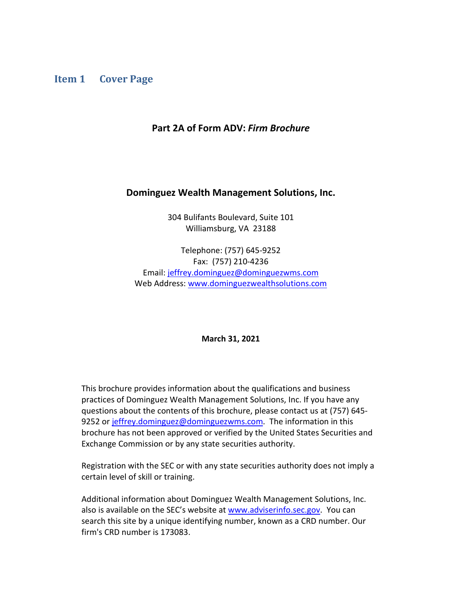### <span id="page-0-0"></span>**Item 1 Cover Page**

#### **Part 2A of Form ADV:** *Firm Brochure*

#### **Dominguez Wealth Management Solutions, Inc.**

304 Bulifants Boulevard, Suite 101 Williamsburg, VA 23188

Telephone: (757) 645-9252 Fax: (757) 210-4236 Email: jeffrey.dominguez@dominguezwms.com Web Address: [www.dominguezwealthsolutions.com](http://www.dominguezwealthsolutions.com/)

**March 31, 2021**

This brochure provides information about the qualifications and business practices of Dominguez Wealth Management Solutions, Inc. If you have any questions about the contents of this brochure, please contact us at (757) 645- 9252 or jeffrey.dominguez@dominguezwms.com. The information in this brochure has not been approved or verified by the United States Securities and Exchange Commission or by any state securities authority.

Registration with the SEC or with any state securities authority does not imply a certain level of skill or training.

Additional information about Dominguez Wealth Management Solutions, Inc. also is available on the SEC's website at [www.adviserinfo.sec.gov.](http://www.adviserinfo.sec.gov/) You can search this site by a unique identifying number, known as a CRD number. Our firm's CRD number is 173083.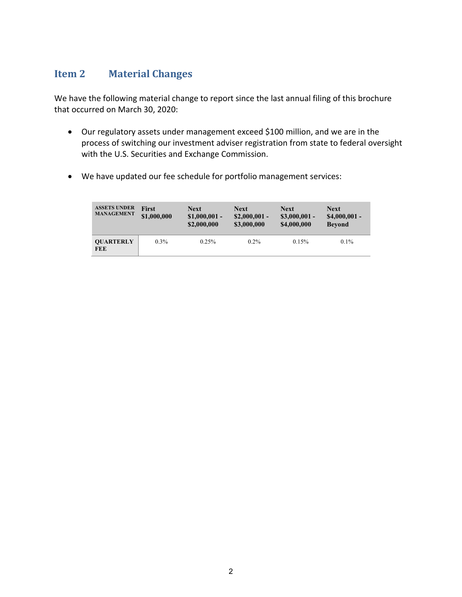## <span id="page-1-0"></span>**Item 2 Material Changes**

We have the following material change to report since the last annual filing of this brochure that occurred on March 30, 2020:

- Our regulatory assets under management exceed \$100 million, and we are in the process of switching our investment adviser registration from state to federal oversight with the U.S. Securities and Exchange Commission.
- We have updated our fee schedule for portfolio management services:

| <b>ASSETS UNDER</b><br><b>MANAGEMENT</b> | <b>First</b><br>\$1,000,000 | <b>Next</b><br>$$1,000,001$ -<br>\$2,000,000 | <b>Next</b><br>$$2,000,001$ -<br>\$3,000,000 | <b>Next</b><br>$$3,000,001$ -<br>\$4,000,000 | <b>Next</b><br>$$4,000,001$ -<br><b>Bevond</b> |
|------------------------------------------|-----------------------------|----------------------------------------------|----------------------------------------------|----------------------------------------------|------------------------------------------------|
| <b>OUARTERLY</b><br><b>FEE</b>           | $0.3\%$                     | 0.25%                                        | $0.2\%$                                      | 0.15%                                        | $0.1\%$                                        |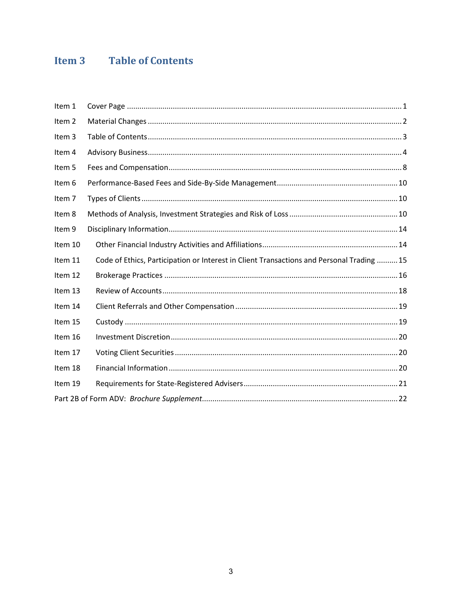# <span id="page-2-0"></span>**Item 3** Table of Contents

| Item 1  |                                                                                          |
|---------|------------------------------------------------------------------------------------------|
| Item 2  |                                                                                          |
| Item 3  |                                                                                          |
| Item 4  |                                                                                          |
| Item 5  |                                                                                          |
| Item 6  |                                                                                          |
| Item 7  |                                                                                          |
| Item 8  |                                                                                          |
| Item 9  |                                                                                          |
| Item 10 |                                                                                          |
| Item 11 | Code of Ethics, Participation or Interest in Client Transactions and Personal Trading 15 |
| Item 12 |                                                                                          |
| Item 13 |                                                                                          |
| Item 14 |                                                                                          |
| Item 15 |                                                                                          |
| Item 16 |                                                                                          |
| Item 17 |                                                                                          |
| Item 18 |                                                                                          |
| Item 19 |                                                                                          |
|         |                                                                                          |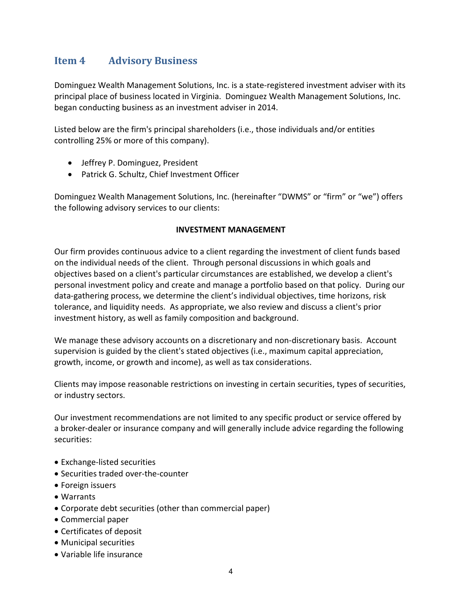## <span id="page-3-0"></span>**Item 4 Advisory Business**

Dominguez Wealth Management Solutions, Inc. is a state-registered investment adviser with its principal place of business located in Virginia. Dominguez Wealth Management Solutions, Inc. began conducting business as an investment adviser in 2014.

Listed below are the firm's principal shareholders (i.e., those individuals and/or entities controlling 25% or more of this company).

- Jeffrey P. Dominguez, President
- Patrick G. Schultz, Chief Investment Officer

Dominguez Wealth Management Solutions, Inc. (hereinafter "DWMS" or "firm" or "we") offers the following advisory services to our clients:

### **INVESTMENT MANAGEMENT**

Our firm provides continuous advice to a client regarding the investment of client funds based on the individual needs of the client. Through personal discussions in which goals and objectives based on a client's particular circumstances are established, we develop a client's personal investment policy and create and manage a portfolio based on that policy. During our data-gathering process, we determine the client's individual objectives, time horizons, risk tolerance, and liquidity needs. As appropriate, we also review and discuss a client's prior investment history, as well as family composition and background.

We manage these advisory accounts on a discretionary and non-discretionary basis. Account supervision is guided by the client's stated objectives (i.e., maximum capital appreciation, growth, income, or growth and income), as well as tax considerations.

Clients may impose reasonable restrictions on investing in certain securities, types of securities, or industry sectors.

Our investment recommendations are not limited to any specific product or service offered by a broker-dealer or insurance company and will generally include advice regarding the following securities:

- Exchange-listed securities
- Securities traded over-the-counter
- Foreign issuers
- Warrants
- Corporate debt securities (other than commercial paper)
- Commercial paper
- Certificates of deposit
- Municipal securities
- Variable life insurance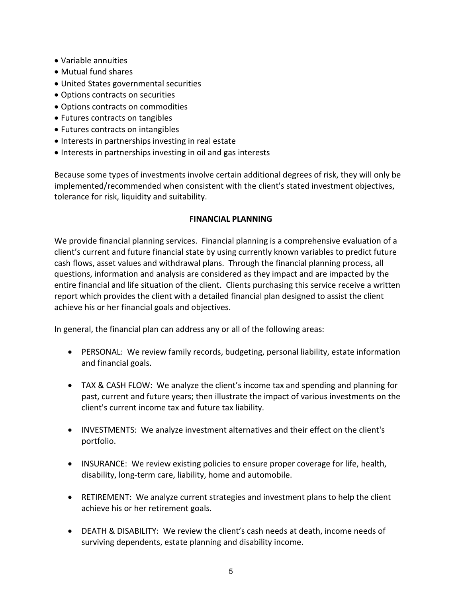- Variable annuities
- Mutual fund shares
- United States governmental securities
- Options contracts on securities
- Options contracts on commodities
- Futures contracts on tangibles
- Futures contracts on intangibles
- Interests in partnerships investing in real estate
- Interests in partnerships investing in oil and gas interests

Because some types of investments involve certain additional degrees of risk, they will only be implemented/recommended when consistent with the client's stated investment objectives, tolerance for risk, liquidity and suitability.

#### **FINANCIAL PLANNING**

We provide financial planning services. Financial planning is a comprehensive evaluation of a client's current and future financial state by using currently known variables to predict future cash flows, asset values and withdrawal plans. Through the financial planning process, all questions, information and analysis are considered as they impact and are impacted by the entire financial and life situation of the client. Clients purchasing this service receive a written report which provides the client with a detailed financial plan designed to assist the client achieve his or her financial goals and objectives.

In general, the financial plan can address any or all of the following areas:

- PERSONAL: We review family records, budgeting, personal liability, estate information and financial goals.
- TAX & CASH FLOW: We analyze the client's income tax and spending and planning for past, current and future years; then illustrate the impact of various investments on the client's current income tax and future tax liability.
- INVESTMENTS: We analyze investment alternatives and their effect on the client's portfolio.
- INSURANCE: We review existing policies to ensure proper coverage for life, health, disability, long-term care, liability, home and automobile.
- RETIREMENT: We analyze current strategies and investment plans to help the client achieve his or her retirement goals.
- DEATH & DISABILITY: We review the client's cash needs at death, income needs of surviving dependents, estate planning and disability income.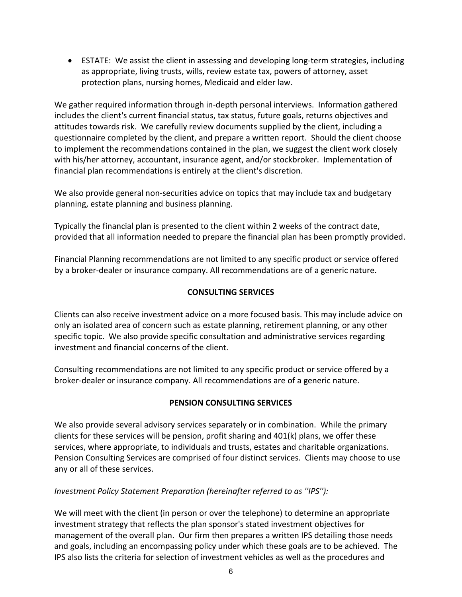• ESTATE: We assist the client in assessing and developing long-term strategies, including as appropriate, living trusts, wills, review estate tax, powers of attorney, asset protection plans, nursing homes, Medicaid and elder law.

We gather required information through in-depth personal interviews. Information gathered includes the client's current financial status, tax status, future goals, returns objectives and attitudes towards risk. We carefully review documents supplied by the client, including a questionnaire completed by the client, and prepare a written report. Should the client choose to implement the recommendations contained in the plan, we suggest the client work closely with his/her attorney, accountant, insurance agent, and/or stockbroker. Implementation of financial plan recommendations is entirely at the client's discretion.

We also provide general non-securities advice on topics that may include tax and budgetary planning, estate planning and business planning.

Typically the financial plan is presented to the client within 2 weeks of the contract date, provided that all information needed to prepare the financial plan has been promptly provided.

Financial Planning recommendations are not limited to any specific product or service offered by a broker-dealer or insurance company. All recommendations are of a generic nature.

### **CONSULTING SERVICES**

Clients can also receive investment advice on a more focused basis. This may include advice on only an isolated area of concern such as estate planning, retirement planning, or any other specific topic. We also provide specific consultation and administrative services regarding investment and financial concerns of the client.

Consulting recommendations are not limited to any specific product or service offered by a broker-dealer or insurance company. All recommendations are of a generic nature.

### **PENSION CONSULTING SERVICES**

We also provide several advisory services separately or in combination. While the primary clients for these services will be pension, profit sharing and 401(k) plans, we offer these services, where appropriate, to individuals and trusts, estates and charitable organizations. Pension Consulting Services are comprised of four distinct services. Clients may choose to use any or all of these services.

### *Investment Policy Statement Preparation (hereinafter referred to as ''IPS''):*

We will meet with the client (in person or over the telephone) to determine an appropriate investment strategy that reflects the plan sponsor's stated investment objectives for management of the overall plan. Our firm then prepares a written IPS detailing those needs and goals, including an encompassing policy under which these goals are to be achieved. The IPS also lists the criteria for selection of investment vehicles as well as the procedures and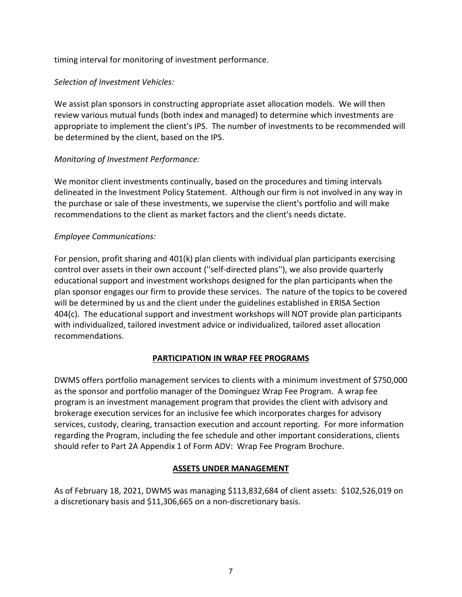timing interval for monitoring of investment performance.

### *Selection of Investment Vehicles:*

We assist plan sponsors in constructing appropriate asset allocation models. We will then review various mutual funds (both index and managed) to determine which investments are appropriate to implement the client's IPS. The number of investments to be recommended will be determined by the client, based on the IPS.

### *Monitoring of Investment Performance:*

We monitor client investments continually, based on the procedures and timing intervals delineated in the Investment Policy Statement. Although our firm is not involved in any way in the purchase or sale of these investments, we supervise the client's portfolio and will make recommendations to the client as market factors and the client's needs dictate.

### *Employee Communications:*

For pension, profit sharing and 401(k) plan clients with individual plan participants exercising control over assets in their own account (''self-directed plans''), we also provide quarterly educational support and investment workshops designed for the plan participants when the plan sponsor engages our firm to provide these services. The nature of the topics to be covered will be determined by us and the client under the guidelines established in ERISA Section 404(c). The educational support and investment workshops will NOT provide plan participants with individualized, tailored investment advice or individualized, tailored asset allocation recommendations.

### **PARTICIPATION IN WRAP FEE PROGRAMS**

DWMS offers portfolio management services to clients with a minimum investment of \$750,000 as the sponsor and portfolio manager of the Dominguez Wrap Fee Program. A wrap fee program is an investment management program that provides the client with advisory and brokerage execution services for an inclusive fee which incorporates charges for advisory services, custody, clearing, transaction execution and account reporting. For more information regarding the Program, including the fee schedule and other important considerations, clients should refer to Part 2A Appendix 1 of Form ADV: Wrap Fee Program Brochure.

### **ASSETS UNDER MANAGEMENT**

As of February 18, 2021, DWMS was managing \$113,832,684 of client assets: \$102,526,019 on a discretionary basis and \$11,306,665 on a non-discretionary basis.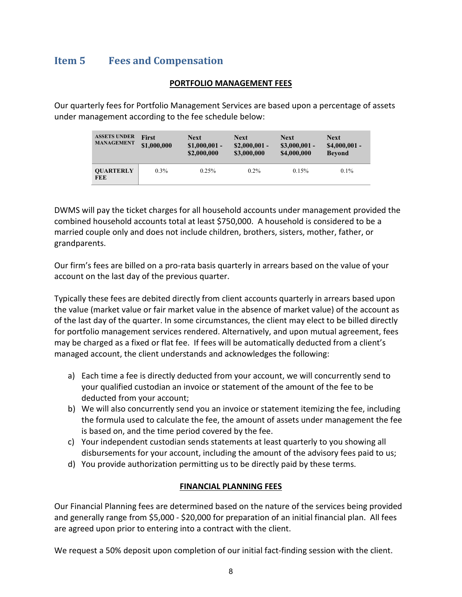## <span id="page-7-0"></span>**Item 5 Fees and Compensation**

#### **PORTFOLIO MANAGEMENT FEES**

Our quarterly fees for Portfolio Management Services are based upon a percentage of assets under management according to the fee schedule below:

| <b>ASSETS UNDER</b><br><b>MANAGEMENT</b> | First<br>\$1,000,000 | <b>Next</b><br>$$1,000,001$ -<br>\$2,000,000 | <b>Next</b><br>$$2,000,001$ -<br>\$3,000,000 | <b>Next</b><br>$$3,000,001$ -<br>\$4,000,000 | <b>Next</b><br>$$4,000,001$ -<br><b>Bevond</b> |
|------------------------------------------|----------------------|----------------------------------------------|----------------------------------------------|----------------------------------------------|------------------------------------------------|
| <b>OUARTERLY</b><br><b>FEE</b>           | $0.3\%$              | 0.25%                                        | $0.2\%$                                      | 0.15%                                        | $0.1\%$                                        |

DWMS will pay the ticket charges for all household accounts under management provided the combined household accounts total at least \$750,000. A household is considered to be a married couple only and does not include children, brothers, sisters, mother, father, or grandparents.

Our firm's fees are billed on a pro-rata basis quarterly in arrears based on the value of your account on the last day of the previous quarter.

Typically these fees are debited directly from client accounts quarterly in arrears based upon the value (market value or fair market value in the absence of market value) of the account as of the last day of the quarter. In some circumstances, the client may elect to be billed directly for portfolio management services rendered. Alternatively, and upon mutual agreement, fees may be charged as a fixed or flat fee. If fees will be automatically deducted from a client's managed account, the client understands and acknowledges the following:

- a) Each time a fee is directly deducted from your account, we will concurrently send to your qualified custodian an invoice or statement of the amount of the fee to be deducted from your account;
- b) We will also concurrently send you an invoice or statement itemizing the fee, including the formula used to calculate the fee, the amount of assets under management the fee is based on, and the time period covered by the fee.
- c) Your independent custodian sends statements at least quarterly to you showing all disbursements for your account, including the amount of the advisory fees paid to us;
- d) You provide authorization permitting us to be directly paid by these terms.

#### **FINANCIAL PLANNING FEES**

Our Financial Planning fees are determined based on the nature of the services being provided and generally range from \$5,000 - \$20,000 for preparation of an initial financial plan. All fees are agreed upon prior to entering into a contract with the client.

We request a 50% deposit upon completion of our initial fact-finding session with the client.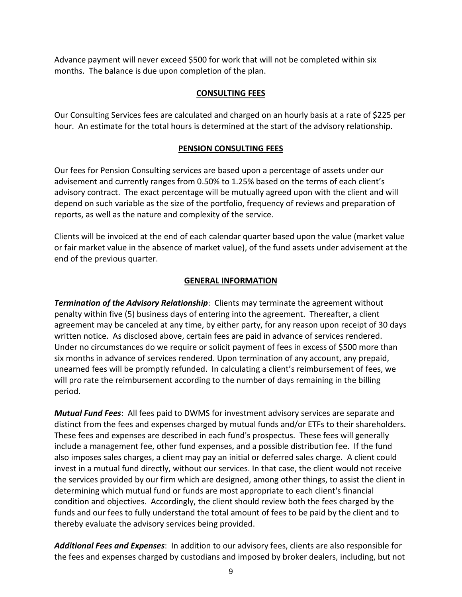Advance payment will never exceed \$500 for work that will not be completed within six months. The balance is due upon completion of the plan.

### **CONSULTING FEES**

Our Consulting Services fees are calculated and charged on an hourly basis at a rate of \$225 per hour. An estimate for the total hours is determined at the start of the advisory relationship.

### **PENSION CONSULTING FEES**

Our fees for Pension Consulting services are based upon a percentage of assets under our advisement and currently ranges from 0.50% to 1.25% based on the terms of each client's advisory contract. The exact percentage will be mutually agreed upon with the client and will depend on such variable as the size of the portfolio, frequency of reviews and preparation of reports, as well as the nature and complexity of the service.

Clients will be invoiced at the end of each calendar quarter based upon the value (market value or fair market value in the absence of market value), of the fund assets under advisement at the end of the previous quarter.

### **GENERAL INFORMATION**

*Termination of the Advisory Relationship: Clients may terminate the agreement without* penalty within five (5) business days of entering into the agreement. Thereafter, a client agreement may be canceled at any time, by either party, for any reason upon receipt of 30 days written notice. As disclosed above, certain fees are paid in advance of services rendered. Under no circumstances do we require or solicit payment of fees in excess of \$500 more than six months in advance of services rendered. Upon termination of any account, any prepaid, unearned fees will be promptly refunded. In calculating a client's reimbursement of fees, we will pro rate the reimbursement according to the number of days remaining in the billing period.

*Mutual Fund Fees*: All fees paid to DWMS for investment advisory services are separate and distinct from the fees and expenses charged by mutual funds and/or ETFs to their shareholders. These fees and expenses are described in each fund's prospectus. These fees will generally include a management fee, other fund expenses, and a possible distribution fee. If the fund also imposes sales charges, a client may pay an initial or deferred sales charge. A client could invest in a mutual fund directly, without our services. In that case, the client would not receive the services provided by our firm which are designed, among other things, to assist the client in determining which mutual fund or funds are most appropriate to each client's financial condition and objectives. Accordingly, the client should review both the fees charged by the funds and our fees to fully understand the total amount of fees to be paid by the client and to thereby evaluate the advisory services being provided.

*Additional Fees and Expenses*: In addition to our advisory fees, clients are also responsible for the fees and expenses charged by custodians and imposed by broker dealers, including, but not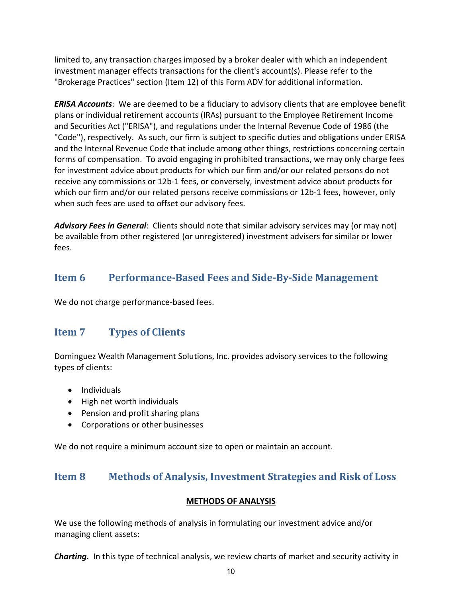limited to, any transaction charges imposed by a broker dealer with which an independent investment manager effects transactions for the client's account(s). Please refer to the "Brokerage Practices" section (Item 12) of this Form ADV for additional information.

*ERISA Accounts*: We are deemed to be a fiduciary to advisory clients that are employee benefit plans or individual retirement accounts (IRAs) pursuant to the Employee Retirement Income and Securities Act ("ERISA"), and regulations under the Internal Revenue Code of 1986 (the "Code"), respectively. As such, our firm is subject to specific duties and obligations under ERISA and the Internal Revenue Code that include among other things, restrictions concerning certain forms of compensation. To avoid engaging in prohibited transactions, we may only charge fees for investment advice about products for which our firm and/or our related persons do not receive any commissions or 12b-1 fees, or conversely, investment advice about products for which our firm and/or our related persons receive commissions or 12b-1 fees, however, only when such fees are used to offset our advisory fees.

*Advisory Fees in General*: Clients should note that similar advisory services may (or may not) be available from other registered (or unregistered) investment advisers for similar or lower fees.

## <span id="page-9-0"></span>**Item 6 Performance-Based Fees and Side-By-Side Management**

<span id="page-9-1"></span>We do not charge performance-based fees.

## **Item 7 Types of Clients**

Dominguez Wealth Management Solutions, Inc. provides advisory services to the following types of clients:

- Individuals
- High net worth individuals
- Pension and profit sharing plans
- Corporations or other businesses

<span id="page-9-2"></span>We do not require a minimum account size to open or maintain an account.

## **Item 8 Methods of Analysis, Investment Strategies and Risk of Loss**

### **METHODS OF ANALYSIS**

We use the following methods of analysis in formulating our investment advice and/or managing client assets:

*Charting.* In this type of technical analysis, we review charts of market and security activity in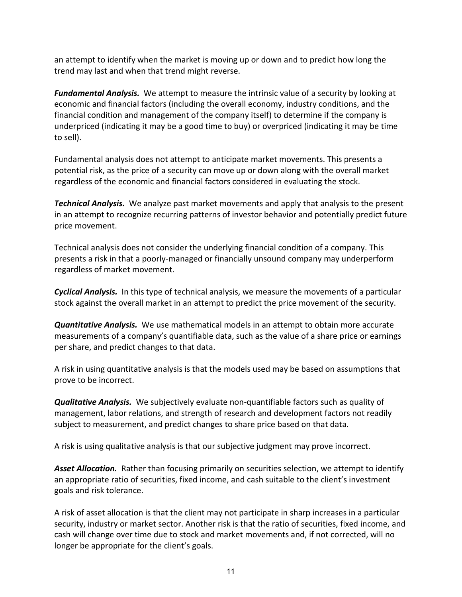an attempt to identify when the market is moving up or down and to predict how long the trend may last and when that trend might reverse.

*Fundamental Analysis.* We attempt to measure the intrinsic value of a security by looking at economic and financial factors (including the overall economy, industry conditions, and the financial condition and management of the company itself) to determine if the company is underpriced (indicating it may be a good time to buy) or overpriced (indicating it may be time to sell).

Fundamental analysis does not attempt to anticipate market movements. This presents a potential risk, as the price of a security can move up or down along with the overall market regardless of the economic and financial factors considered in evaluating the stock.

*Technical Analysis.* We analyze past market movements and apply that analysis to the present in an attempt to recognize recurring patterns of investor behavior and potentially predict future price movement.

Technical analysis does not consider the underlying financial condition of a company. This presents a risk in that a poorly-managed or financially unsound company may underperform regardless of market movement.

*Cyclical Analysis.* In this type of technical analysis, we measure the movements of a particular stock against the overall market in an attempt to predict the price movement of the security.

*Quantitative Analysis.* We use mathematical models in an attempt to obtain more accurate measurements of a company's quantifiable data, such as the value of a share price or earnings per share, and predict changes to that data.

A risk in using quantitative analysis is that the models used may be based on assumptions that prove to be incorrect.

*Qualitative Analysis.* We subjectively evaluate non-quantifiable factors such as quality of management, labor relations, and strength of research and development factors not readily subject to measurement, and predict changes to share price based on that data.

A risk is using qualitative analysis is that our subjective judgment may prove incorrect.

*Asset Allocation.* Rather than focusing primarily on securities selection, we attempt to identify an appropriate ratio of securities, fixed income, and cash suitable to the client's investment goals and risk tolerance.

A risk of asset allocation is that the client may not participate in sharp increases in a particular security, industry or market sector. Another risk is that the ratio of securities, fixed income, and cash will change over time due to stock and market movements and, if not corrected, will no longer be appropriate for the client's goals.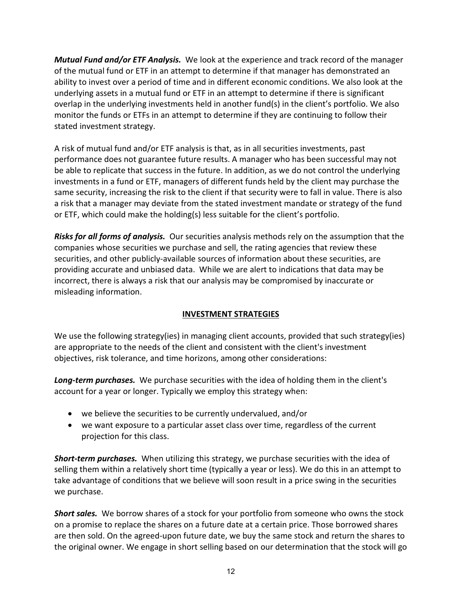*Mutual Fund and/or ETF Analysis.* We look at the experience and track record of the manager of the mutual fund or ETF in an attempt to determine if that manager has demonstrated an ability to invest over a period of time and in different economic conditions. We also look at the underlying assets in a mutual fund or ETF in an attempt to determine if there is significant overlap in the underlying investments held in another fund(s) in the client's portfolio. We also monitor the funds or ETFs in an attempt to determine if they are continuing to follow their stated investment strategy.

A risk of mutual fund and/or ETF analysis is that, as in all securities investments, past performance does not guarantee future results. A manager who has been successful may not be able to replicate that success in the future. In addition, as we do not control the underlying investments in a fund or ETF, managers of different funds held by the client may purchase the same security, increasing the risk to the client if that security were to fall in value. There is also a risk that a manager may deviate from the stated investment mandate or strategy of the fund or ETF, which could make the holding(s) less suitable for the client's portfolio.

*Risks for all forms of analysis.* Our securities analysis methods rely on the assumption that the companies whose securities we purchase and sell, the rating agencies that review these securities, and other publicly-available sources of information about these securities, are providing accurate and unbiased data. While we are alert to indications that data may be incorrect, there is always a risk that our analysis may be compromised by inaccurate or misleading information.

### **INVESTMENT STRATEGIES**

We use the following strategy(ies) in managing client accounts, provided that such strategy(ies) are appropriate to the needs of the client and consistent with the client's investment objectives, risk tolerance, and time horizons, among other considerations:

*Long-term purchases.* We purchase securities with the idea of holding them in the client's account for a year or longer. Typically we employ this strategy when:

- we believe the securities to be currently undervalued, and/or
- we want exposure to a particular asset class over time, regardless of the current projection for this class.

*Short-term purchases.* When utilizing this strategy, we purchase securities with the idea of selling them within a relatively short time (typically a year or less). We do this in an attempt to take advantage of conditions that we believe will soon result in a price swing in the securities we purchase.

*Short sales.* We borrow shares of a stock for your portfolio from someone who owns the stock on a promise to replace the shares on a future date at a certain price. Those borrowed shares are then sold. On the agreed-upon future date, we buy the same stock and return the shares to the original owner. We engage in short selling based on our determination that the stock will go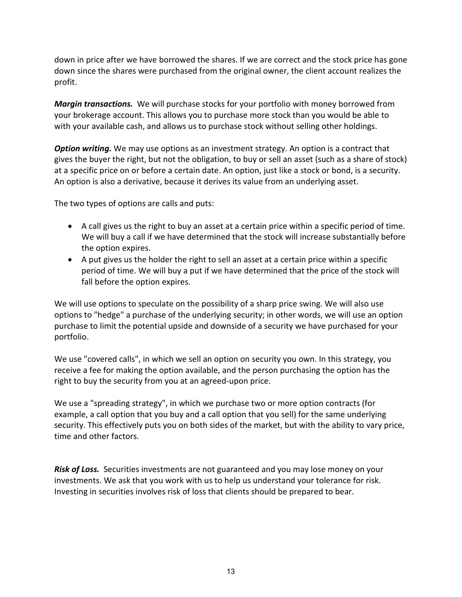down in price after we have borrowed the shares. If we are correct and the stock price has gone down since the shares were purchased from the original owner, the client account realizes the profit.

*Margin transactions.* We will purchase stocks for your portfolio with money borrowed from your brokerage account. This allows you to purchase more stock than you would be able to with your available cash, and allows us to purchase stock without selling other holdings.

*Option writing.* We may use options as an investment strategy. An option is a contract that gives the buyer the right, but not the obligation, to buy or sell an asset (such as a share of stock) at a specific price on or before a certain date. An option, just like a stock or bond, is a security. An option is also a derivative, because it derives its value from an underlying asset.

The two types of options are calls and puts:

- A call gives us the right to buy an asset at a certain price within a specific period of time. We will buy a call if we have determined that the stock will increase substantially before the option expires.
- A put gives us the holder the right to sell an asset at a certain price within a specific period of time. We will buy a put if we have determined that the price of the stock will fall before the option expires.

We will use options to speculate on the possibility of a sharp price swing. We will also use options to "hedge" a purchase of the underlying security; in other words, we will use an option purchase to limit the potential upside and downside of a security we have purchased for your portfolio.

We use "covered calls", in which we sell an option on security you own. In this strategy, you receive a fee for making the option available, and the person purchasing the option has the right to buy the security from you at an agreed-upon price.

We use a "spreading strategy", in which we purchase two or more option contracts (for example, a call option that you buy and a call option that you sell) for the same underlying security. This effectively puts you on both sides of the market, but with the ability to vary price, time and other factors.

<span id="page-12-0"></span>*Risk of Loss.* Securities investments are not guaranteed and you may lose money on your investments. We ask that you work with us to help us understand your tolerance for risk. Investing in securities involves risk of loss that clients should be prepared to bear.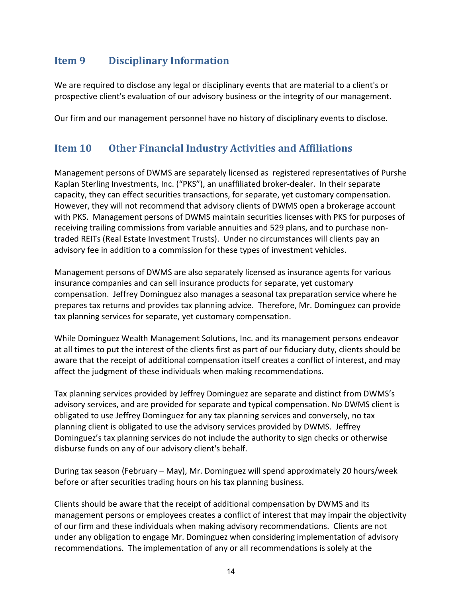## **Item 9 Disciplinary Information**

We are required to disclose any legal or disciplinary events that are material to a client's or prospective client's evaluation of our advisory business or the integrity of our management.

<span id="page-13-0"></span>Our firm and our management personnel have no history of disciplinary events to disclose.

## **Item 10 Other Financial Industry Activities and Affiliations**

Management persons of DWMS are separately licensed as registered representatives of Purshe Kaplan Sterling Investments, Inc. ("PKS"), an unaffiliated broker-dealer. In their separate capacity, they can effect securities transactions, for separate, yet customary compensation. However, they will not recommend that advisory clients of DWMS open a brokerage account with PKS. Management persons of DWMS maintain securities licenses with PKS for purposes of receiving trailing commissions from variable annuities and 529 plans, and to purchase nontraded REITs (Real Estate Investment Trusts). Under no circumstances will clients pay an advisory fee in addition to a commission for these types of investment vehicles.

Management persons of DWMS are also separately licensed as insurance agents for various insurance companies and can sell insurance products for separate, yet customary compensation. Jeffrey Dominguez also manages a seasonal tax preparation service where he prepares tax returns and provides tax planning advice. Therefore, Mr. Dominguez can provide tax planning services for separate, yet customary compensation.

While Dominguez Wealth Management Solutions, Inc. and its management persons endeavor at all times to put the interest of the clients first as part of our fiduciary duty, clients should be aware that the receipt of additional compensation itself creates a conflict of interest, and may affect the judgment of these individuals when making recommendations.

Tax planning services provided by Jeffrey Dominguez are separate and distinct from DWMS's advisory services, and are provided for separate and typical compensation. No DWMS client is obligated to use Jeffrey Dominguez for any tax planning services and conversely, no tax planning client is obligated to use the advisory services provided by DWMS. Jeffrey Dominguez's tax planning services do not include the authority to sign checks or otherwise disburse funds on any of our advisory client's behalf.

During tax season (February – May), Mr. Dominguez will spend approximately 20 hours/week before or after securities trading hours on his tax planning business.

Clients should be aware that the receipt of additional compensation by DWMS and its management persons or employees creates a conflict of interest that may impair the objectivity of our firm and these individuals when making advisory recommendations. Clients are not under any obligation to engage Mr. Dominguez when considering implementation of advisory recommendations. The implementation of any or all recommendations is solely at the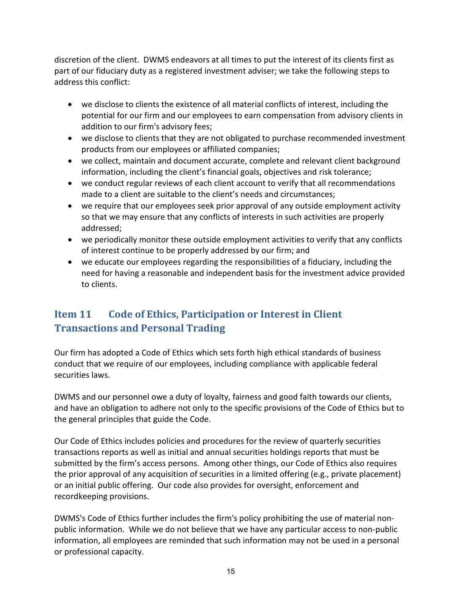discretion of the client. DWMS endeavors at all times to put the interest of its clients first as part of our fiduciary duty as a registered investment adviser; we take the following steps to address this conflict:

- we disclose to clients the existence of all material conflicts of interest, including the potential for our firm and our employees to earn compensation from advisory clients in addition to our firm's advisory fees;
- we disclose to clients that they are not obligated to purchase recommended investment products from our employees or affiliated companies;
- we collect, maintain and document accurate, complete and relevant client background information, including the client's financial goals, objectives and risk tolerance;
- we conduct regular reviews of each client account to verify that all recommendations made to a client are suitable to the client's needs and circumstances;
- we require that our employees seek prior approval of any outside employment activity so that we may ensure that any conflicts of interests in such activities are properly addressed;
- we periodically monitor these outside employment activities to verify that any conflicts of interest continue to be properly addressed by our firm; and
- we educate our employees regarding the responsibilities of a fiduciary, including the need for having a reasonable and independent basis for the investment advice provided to clients.

## <span id="page-14-0"></span>**Item 11 Code of Ethics, Participation or Interest in Client Transactions and Personal Trading**

Our firm has adopted a Code of Ethics which sets forth high ethical standards of business conduct that we require of our employees, including compliance with applicable federal securities laws.

DWMS and our personnel owe a duty of loyalty, fairness and good faith towards our clients, and have an obligation to adhere not only to the specific provisions of the Code of Ethics but to the general principles that guide the Code.

Our Code of Ethics includes policies and procedures for the review of quarterly securities transactions reports as well as initial and annual securities holdings reports that must be submitted by the firm's access persons. Among other things, our Code of Ethics also requires the prior approval of any acquisition of securities in a limited offering (e.g., private placement) or an initial public offering. Our code also provides for oversight, enforcement and recordkeeping provisions.

DWMS's Code of Ethics further includes the firm's policy prohibiting the use of material nonpublic information. While we do not believe that we have any particular access to non-public information, all employees are reminded that such information may not be used in a personal or professional capacity.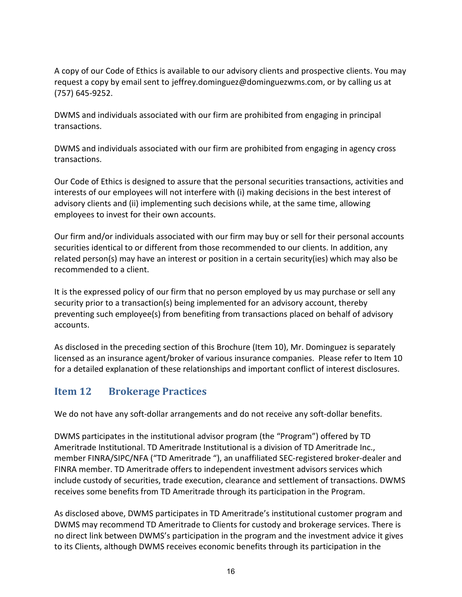A copy of our Code of Ethics is available to our advisory clients and prospective clients. You may request a copy by email sent to jeffrey.dominguez@dominguezwms.com, or by calling us at (757) 645-9252.

DWMS and individuals associated with our firm are prohibited from engaging in principal transactions.

DWMS and individuals associated with our firm are prohibited from engaging in agency cross transactions.

Our Code of Ethics is designed to assure that the personal securities transactions, activities and interests of our employees will not interfere with (i) making decisions in the best interest of advisory clients and (ii) implementing such decisions while, at the same time, allowing employees to invest for their own accounts.

Our firm and/or individuals associated with our firm may buy or sell for their personal accounts securities identical to or different from those recommended to our clients. In addition, any related person(s) may have an interest or position in a certain security(ies) which may also be recommended to a client.

It is the expressed policy of our firm that no person employed by us may purchase or sell any security prior to a transaction(s) being implemented for an advisory account, thereby preventing such employee(s) from benefiting from transactions placed on behalf of advisory accounts.

As disclosed in the preceding section of this Brochure (Item 10), Mr. Dominguez is separately licensed as an insurance agent/broker of various insurance companies. Please refer to Item 10 for a detailed explanation of these relationships and important conflict of interest disclosures.

## <span id="page-15-0"></span>**Item 12 Brokerage Practices**

We do not have any soft-dollar arrangements and do not receive any soft-dollar benefits.

DWMS participates in the institutional advisor program (the "Program") offered by TD Ameritrade Institutional. TD Ameritrade Institutional is a division of TD Ameritrade Inc., member FINRA/SIPC/NFA ("TD Ameritrade "), an unaffiliated SEC-registered broker-dealer and FINRA member. TD Ameritrade offers to independent investment advisors services which include custody of securities, trade execution, clearance and settlement of transactions. DWMS receives some benefits from TD Ameritrade through its participation in the Program.

As disclosed above, DWMS participates in TD Ameritrade's institutional customer program and DWMS may recommend TD Ameritrade to Clients for custody and brokerage services. There is no direct link between DWMS's participation in the program and the investment advice it gives to its Clients, although DWMS receives economic benefits through its participation in the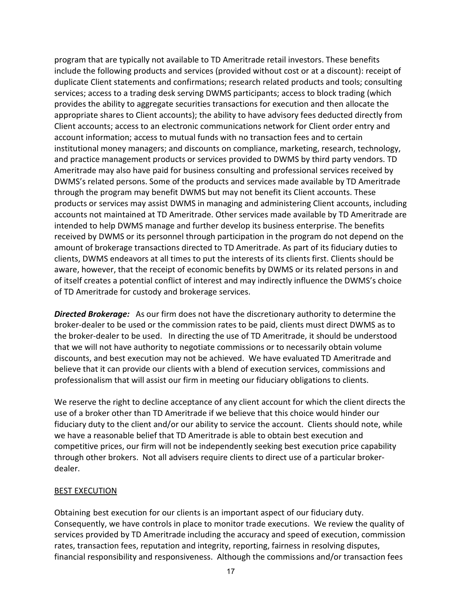program that are typically not available to TD Ameritrade retail investors. These benefits include the following products and services (provided without cost or at a discount): receipt of duplicate Client statements and confirmations; research related products and tools; consulting services; access to a trading desk serving DWMS participants; access to block trading (which provides the ability to aggregate securities transactions for execution and then allocate the appropriate shares to Client accounts); the ability to have advisory fees deducted directly from Client accounts; access to an electronic communications network for Client order entry and account information; access to mutual funds with no transaction fees and to certain institutional money managers; and discounts on compliance, marketing, research, technology, and practice management products or services provided to DWMS by third party vendors. TD Ameritrade may also have paid for business consulting and professional services received by DWMS's related persons. Some of the products and services made available by TD Ameritrade through the program may benefit DWMS but may not benefit its Client accounts. These products or services may assist DWMS in managing and administering Client accounts, including accounts not maintained at TD Ameritrade. Other services made available by TD Ameritrade are intended to help DWMS manage and further develop its business enterprise. The benefits received by DWMS or its personnel through participation in the program do not depend on the amount of brokerage transactions directed to TD Ameritrade. As part of its fiduciary duties to clients, DWMS endeavors at all times to put the interests of its clients first. Clients should be aware, however, that the receipt of economic benefits by DWMS or its related persons in and of itself creates a potential conflict of interest and may indirectly influence the DWMS's choice of TD Ameritrade for custody and brokerage services.

*Directed Brokerage:* As our firm does not have the discretionary authority to determine the broker-dealer to be used or the commission rates to be paid, clients must direct DWMS as to the broker-dealer to be used. In directing the use of TD Ameritrade, it should be understood that we will not have authority to negotiate commissions or to necessarily obtain volume discounts, and best execution may not be achieved. We have evaluated TD Ameritrade and believe that it can provide our clients with a blend of execution services, commissions and professionalism that will assist our firm in meeting our fiduciary obligations to clients.

We reserve the right to decline acceptance of any client account for which the client directs the use of a broker other than TD Ameritrade if we believe that this choice would hinder our fiduciary duty to the client and/or our ability to service the account. Clients should note, while we have a reasonable belief that TD Ameritrade is able to obtain best execution and competitive prices, our firm will not be independently seeking best execution price capability through other brokers. Not all advisers require clients to direct use of a particular brokerdealer.

#### BEST EXECUTION

Obtaining best execution for our clients is an important aspect of our fiduciary duty. Consequently, we have controls in place to monitor trade executions. We review the quality of services provided by TD Ameritrade including the accuracy and speed of execution, commission rates, transaction fees, reputation and integrity, reporting, fairness in resolving disputes, financial responsibility and responsiveness. Although the commissions and/or transaction fees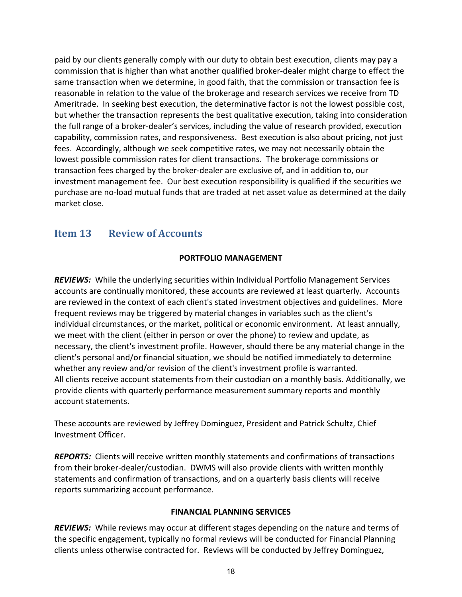paid by our clients generally comply with our duty to obtain best execution, clients may pay a commission that is higher than what another qualified broker-dealer might charge to effect the same transaction when we determine, in good faith, that the commission or transaction fee is reasonable in relation to the value of the brokerage and research services we receive from TD Ameritrade. In seeking best execution, the determinative factor is not the lowest possible cost, but whether the transaction represents the best qualitative execution, taking into consideration the full range of a broker-dealer's services, including the value of research provided, execution capability, commission rates, and responsiveness. Best execution is also about pricing, not just fees. Accordingly, although we seek competitive rates, we may not necessarily obtain the lowest possible commission rates for client transactions. The brokerage commissions or transaction fees charged by the broker-dealer are exclusive of, and in addition to, our investment management fee. Our best execution responsibility is qualified if the securities we purchase are no-load mutual funds that are traded at net asset value as determined at the daily market close.

## <span id="page-17-0"></span>**Item 13 Review of Accounts**

### **PORTFOLIO MANAGEMENT**

*REVIEWS:* While the underlying securities within Individual Portfolio Management Services accounts are continually monitored, these accounts are reviewed at least quarterly. Accounts are reviewed in the context of each client's stated investment objectives and guidelines. More frequent reviews may be triggered by material changes in variables such as the client's individual circumstances, or the market, political or economic environment. At least annually, we meet with the client (either in person or over the phone) to review and update, as necessary, the client's investment profile. However, should there be any material change in the client's personal and/or financial situation, we should be notified immediately to determine whether any review and/or revision of the client's investment profile is warranted. All clients receive account statements from their custodian on a monthly basis. Additionally, we provide clients with quarterly performance measurement summary reports and monthly account statements.

These accounts are reviewed by Jeffrey Dominguez, President and Patrick Schultz, Chief Investment Officer.

*REPORTS:* Clients will receive written monthly statements and confirmations of transactions from their broker-dealer/custodian. DWMS will also provide clients with written monthly statements and confirmation of transactions, and on a quarterly basis clients will receive reports summarizing account performance.

### **FINANCIAL PLANNING SERVICES**

*REVIEWS:* While reviews may occur at different stages depending on the nature and terms of the specific engagement, typically no formal reviews will be conducted for Financial Planning clients unless otherwise contracted for. Reviews will be conducted by Jeffrey Dominguez,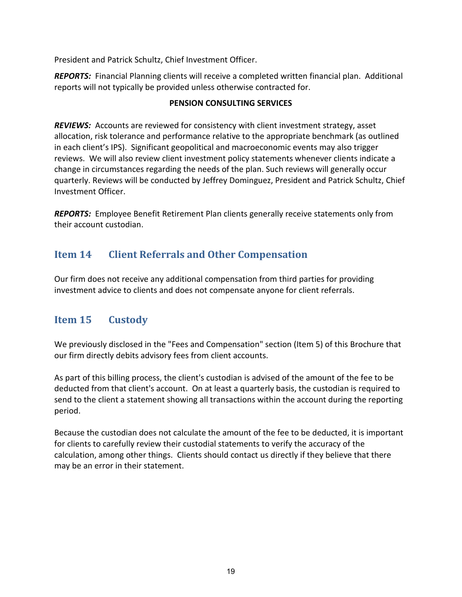President and Patrick Schultz, Chief Investment Officer.

*REPORTS:* Financial Planning clients will receive a completed written financial plan. Additional reports will not typically be provided unless otherwise contracted for.

### **PENSION CONSULTING SERVICES**

*REVIEWS:* Accounts are reviewed for consistency with client investment strategy, asset allocation, risk tolerance and performance relative to the appropriate benchmark (as outlined in each client's IPS). Significant geopolitical and macroeconomic events may also trigger reviews. We will also review client investment policy statements whenever clients indicate a change in circumstances regarding the needs of the plan. Such reviews will generally occur quarterly. Reviews will be conducted by Jeffrey Dominguez, President and Patrick Schultz, Chief Investment Officer.

*REPORTS:* Employee Benefit Retirement Plan clients generally receive statements only from their account custodian.

## <span id="page-18-0"></span>**Item 14 Client Referrals and Other Compensation**

Our firm does not receive any additional compensation from third parties for providing investment advice to clients and does not compensate anyone for client referrals.

## <span id="page-18-1"></span>**Item 15 Custody**

We previously disclosed in the "Fees and Compensation" section (Item 5) of this Brochure that our firm directly debits advisory fees from client accounts.

As part of this billing process, the client's custodian is advised of the amount of the fee to be deducted from that client's account. On at least a quarterly basis, the custodian is required to send to the client a statement showing all transactions within the account during the reporting period.

<span id="page-18-2"></span>Because the custodian does not calculate the amount of the fee to be deducted, it is important for clients to carefully review their custodial statements to verify the accuracy of the calculation, among other things. Clients should contact us directly if they believe that there may be an error in their statement.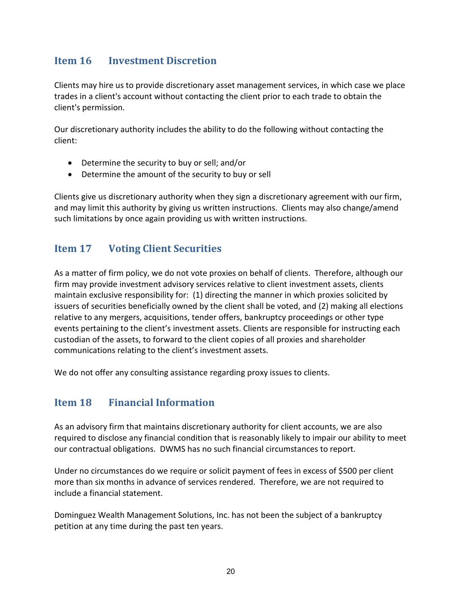## **Item 16 Investment Discretion**

Clients may hire us to provide discretionary asset management services, in which case we place trades in a client's account without contacting the client prior to each trade to obtain the client's permission.

Our discretionary authority includes the ability to do the following without contacting the client:

- Determine the security to buy or sell; and/or
- Determine the amount of the security to buy or sell

Clients give us discretionary authority when they sign a discretionary agreement with our firm, and may limit this authority by giving us written instructions. Clients may also change/amend such limitations by once again providing us with written instructions.

### <span id="page-19-0"></span>**Item 17 Voting Client Securities**

As a matter of firm policy, we do not vote proxies on behalf of clients. Therefore, although our firm may provide investment advisory services relative to client investment assets, clients maintain exclusive responsibility for: (1) directing the manner in which proxies solicited by issuers of securities beneficially owned by the client shall be voted, and (2) making all elections relative to any mergers, acquisitions, tender offers, bankruptcy proceedings or other type events pertaining to the client's investment assets. Clients are responsible for instructing each custodian of the assets, to forward to the client copies of all proxies and shareholder communications relating to the client's investment assets.

<span id="page-19-1"></span>We do not offer any consulting assistance regarding proxy issues to clients.

### **Item 18 Financial Information**

As an advisory firm that maintains discretionary authority for client accounts, we are also required to disclose any financial condition that is reasonably likely to impair our ability to meet our contractual obligations. DWMS has no such financial circumstances to report.

Under no circumstances do we require or solicit payment of fees in excess of \$500 per client more than six months in advance of services rendered. Therefore, we are not required to include a financial statement.

Dominguez Wealth Management Solutions, Inc. has not been the subject of a bankruptcy petition at any time during the past ten years.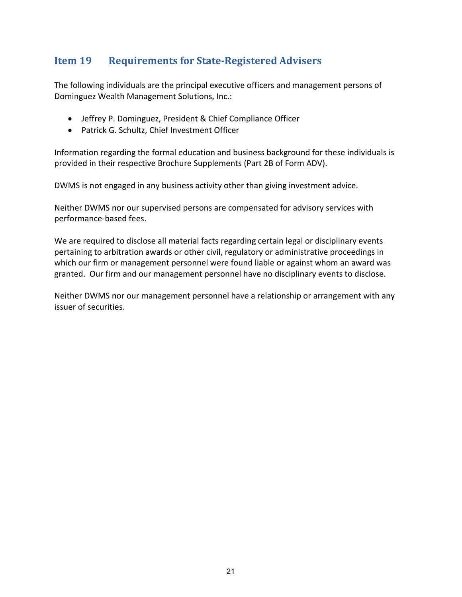## <span id="page-20-0"></span>**Item 19 Requirements for State-Registered Advisers**

The following individuals are the principal executive officers and management persons of Dominguez Wealth Management Solutions, Inc.:

- Jeffrey P. Dominguez, President & Chief Compliance Officer
- Patrick G. Schultz, Chief Investment Officer

Information regarding the formal education and business background for these individuals is provided in their respective Brochure Supplements (Part 2B of Form ADV).

DWMS is not engaged in any business activity other than giving investment advice.

Neither DWMS nor our supervised persons are compensated for advisory services with performance-based fees.

We are required to disclose all material facts regarding certain legal or disciplinary events pertaining to arbitration awards or other civil, regulatory or administrative proceedings in which our firm or management personnel were found liable or against whom an award was granted. Our firm and our management personnel have no disciplinary events to disclose.

Neither DWMS nor our management personnel have a relationship or arrangement with any issuer of securities.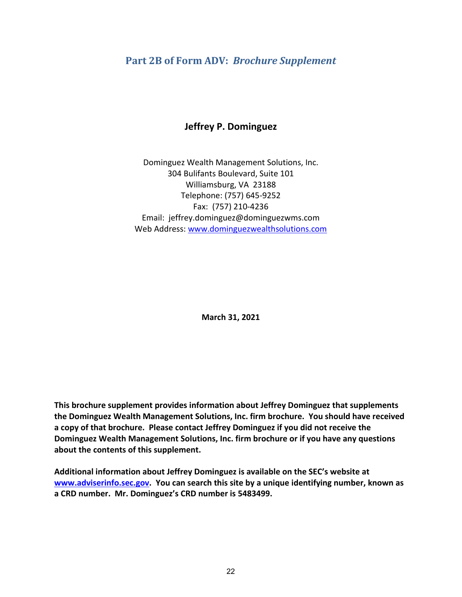### <span id="page-21-0"></span>**Part 2B of Form ADV:** *Brochure Supplement*

### **Jeffrey P. Dominguez**

Dominguez Wealth Management Solutions, Inc. 304 Bulifants Boulevard, Suite 101 Williamsburg, VA 23188 Telephone: (757) 645-9252 Fax: (757) 210-4236 Email: jeffrey.dominguez@dominguezwms.com Web Address: [www.dominguezwealthsolutions.com](http://www.dominguezwealthsolutions.com/)

**March 31, 2021**

**This brochure supplement provides information about Jeffrey Dominguez that supplements the Dominguez Wealth Management Solutions, Inc. firm brochure. You should have received a copy of that brochure. Please contact Jeffrey Dominguez if you did not receive the Dominguez Wealth Management Solutions, Inc. firm brochure or if you have any questions about the contents of this supplement.**

**Additional information about Jeffrey Dominguez is available on the SEC's website at [www.adviserinfo.sec.gov.](http://www.adviserinfo.sec.gov/) You can search this site by a unique identifying number, known as a CRD number. Mr. Dominguez's CRD number is 5483499.**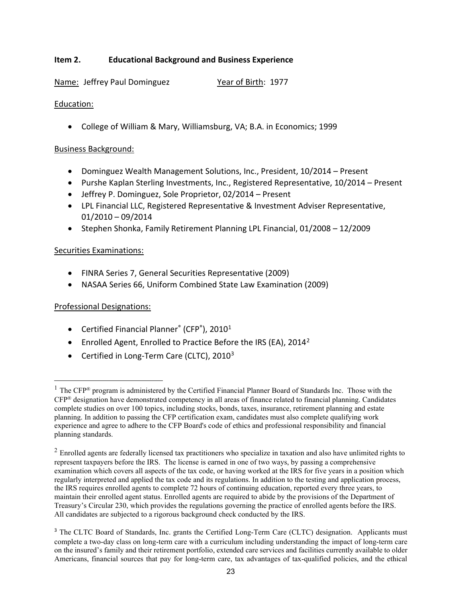### **Item 2. Educational Background and Business Experience**

Name: Jeffrey Paul Dominguez Year of Birth: 1977

### Education:

• College of William & Mary, Williamsburg, VA; B.A. in Economics; 1999

### Business Background:

- Dominguez Wealth Management Solutions, Inc., President, 10/2014 Present
- Purshe Kaplan Sterling Investments, Inc., Registered Representative, 10/2014 Present
- Jeffrey P. Dominguez, Sole Proprietor, 02/2014 Present
- LPL Financial LLC, Registered Representative & Investment Adviser Representative, 01/2010 – 09/2014
- Stephen Shonka, Family Retirement Planning LPL Financial, 01/2008 12/2009

### Securities Examinations:

- FINRA Series 7, General Securities Representative (2009)
- NASAA Series 66, Uniform Combined State Law Examination (2009)

### Professional Designations:

- Certified Financial Planner® (CFP®), 20[1](#page-22-0)0<sup>1</sup>
- Enrolled Agent, Enrolled to Practice Before the IRS (EA),  $2014^2$
- Certified in Long-Term Care (CLTC),  $2010^3$  $2010^3$

<span id="page-22-0"></span><sup>&</sup>lt;sup>1</sup> The CFP<sup>®</sup> program is administered by the Certified Financial Planner Board of Standards Inc. Those with the CFP® designation have demonstrated competency in all areas of finance related to financial planning. Candidates complete studies on over 100 topics, including stocks, bonds, taxes, insurance, retirement planning and estate planning. In addition to passing the CFP certification exam, candidates must also complete qualifying work experience and agree to adhere to the CFP Board's code of ethics and professional responsibility and financial planning standards.

<span id="page-22-1"></span> $2$  Enrolled agents are federally licensed tax practitioners who specialize in taxation and also have unlimited rights to represent taxpayers before the IRS. The license is earned in one of two ways, by passing a comprehensive examination which covers all aspects of the tax code, or having worked at the IRS for five years in a position which regularly interpreted and applied the tax code and its regulations. In addition to the testing and application process, the IRS requires enrolled agents to complete 72 hours of continuing education, reported every three years, to maintain their enrolled agent status. Enrolled agents are required to abide by the provisions of the Department of Treasury's Circular 230, which provides the regulations governing the practice of enrolled agents before the IRS. All candidates are subjected to a rigorous background check conducted by the IRS.

<span id="page-22-2"></span><sup>&</sup>lt;sup>3</sup> The CLTC Board of Standards, Inc. grants the Certified Long-Term Care (CLTC) designation. Applicants must complete a two-day class on long-term care with a curriculum including understanding the impact of long-term care on the insured's family and their retirement portfolio, extended care services and facilities currently available to older Americans, financial sources that pay for long-term care, tax advantages of tax-qualified policies, and the ethical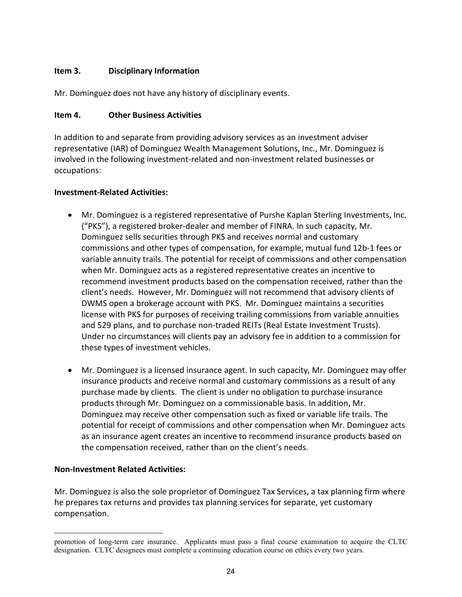### **Item 3. Disciplinary Information**

Mr. Dominguez does not have any history of disciplinary events.

### **Item 4. Other Business Activities**

In addition to and separate from providing advisory services as an investment adviser representative (IAR) of Dominguez Wealth Management Solutions, Inc., Mr. Dominguez is involved in the following investment-related and non-investment related businesses or occupations:

### **Investment-Related Activities:**

- Mr. Dominguez is a registered representative of Purshe Kaplan Sterling Investments, Inc. ("PKS"), a registered broker-dealer and member of FINRA. In such capacity, Mr. Dominguez sells securities through PKS and receives normal and customary commissions and other types of compensation, for example, mutual fund 12b-1 fees or variable annuity trails. The potential for receipt of commissions and other compensation when Mr. Dominguez acts as a registered representative creates an incentive to recommend investment products based on the compensation received, rather than the client's needs. However, Mr. Dominguez will not recommend that advisory clients of DWMS open a brokerage account with PKS. Mr. Dominguez maintains a securities license with PKS for purposes of receiving trailing commissions from variable annuities and 529 plans, and to purchase non-traded REITs (Real Estate Investment Trusts). Under no circumstances will clients pay an advisory fee in addition to a commission for these types of investment vehicles.
- Mr. Dominguez is a licensed insurance agent. In such capacity, Mr. Dominguez may offer insurance products and receive normal and customary commissions as a result of any purchase made by clients. The client is under no obligation to purchase insurance products through Mr. Dominguez on a commissionable basis. In addition, Mr. Dominguez may receive other compensation such as fixed or variable life trails. The potential for receipt of commissions and other compensation when Mr. Dominguez acts as an insurance agent creates an incentive to recommend insurance products based on the compensation received, rather than on the client's needs.

### **Non-Investment Related Activities:**

Mr. Dominguez is also the sole proprietor of Dominguez Tax Services, a tax planning firm where he prepares tax returns and provides tax planning services for separate, yet customary compensation.

promotion of long-term care insurance. Applicants must pass a final course examination to acquire the CLTC designation. CLTC designees must complete a continuing education course on ethics every two years.